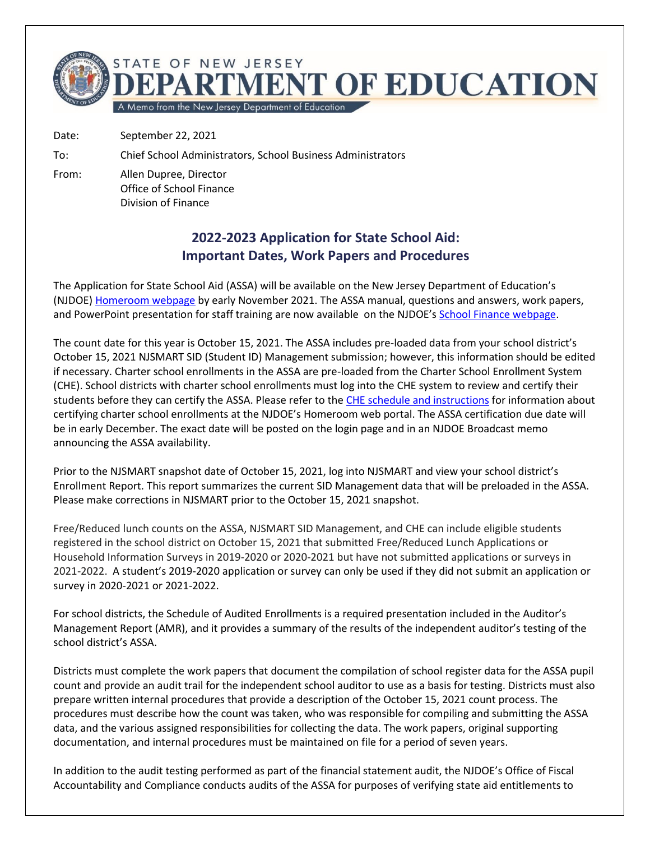

Date: September 22, 2021

To: Chief School Administrators, School Business Administrators

From: Allen Dupree, Director Office of School Finance Division of Finance

## **2022-2023 Application for State School Aid: Important Dates, Work Papers and Procedures**

The Application for State School Aid (ASSA) will be available on the New Jersey Department of Education's (NJDOE[\) Homeroom webpage](http://homeroom.state.nj.us/) by early November 2021. The ASSA manual, questions and answers, work papers, and PowerPoint presentation for staff training are now available on the NJDOE's [School Finance webpage.](http://www.nj.gov/education/finance/sf/stateaid_app.shtml)

The count date for this year is October 15, 2021. The ASSA includes pre-loaded data from your school district's October 15, 2021 NJSMART SID (Student ID) Management submission; however, this information should be edited if necessary. Charter school enrollments in the ASSA are pre-loaded from the Charter School Enrollment System (CHE). School districts with charter school enrollments must log into the CHE system to review and certify their students before they can certify the ASSA. Please refer to the [CHE schedule and instructions](https://homeroom4.doe.state.nj.us/che/) for information about certifying charter school enrollments at the NJDOE's Homeroom web portal. The ASSA certification due date will be in early December. The exact date will be posted on the login page and in an NJDOE Broadcast memo announcing the ASSA availability.

Prior to the NJSMART snapshot date of October 15, 2021, log into NJSMART and view your school district's Enrollment Report. This report summarizes the current SID Management data that will be preloaded in the ASSA. Please make corrections in NJSMART prior to the October 15, 2021 snapshot.

Free/Reduced lunch counts on the ASSA, NJSMART SID Management, and CHE can include eligible students registered in the school district on October 15, 2021 that submitted Free/Reduced Lunch Applications or Household Information Surveys in 2019-2020 or 2020-2021 but have not submitted applications or surveys in 2021-2022. A student's 2019-2020 application or survey can only be used if they did not submit an application or survey in 2020-2021 or 2021-2022.

For school districts, the Schedule of Audited Enrollments is a required presentation included in the Auditor's Management Report (AMR), and it provides a summary of the results of the independent auditor's testing of the school district's ASSA.

Districts must complete the work papers that document the compilation of school register data for the ASSA pupil count and provide an audit trail for the independent school auditor to use as a basis for testing. Districts must also prepare written internal procedures that provide a description of the October 15, 2021 count process. The procedures must describe how the count was taken, who was responsible for compiling and submitting the ASSA data, and the various assigned responsibilities for collecting the data. The work papers, original supporting documentation, and internal procedures must be maintained on file for a period of seven years.

In addition to the audit testing performed as part of the financial statement audit, the NJDOE's Office of Fiscal Accountability and Compliance conducts audits of the ASSA for purposes of verifying state aid entitlements to